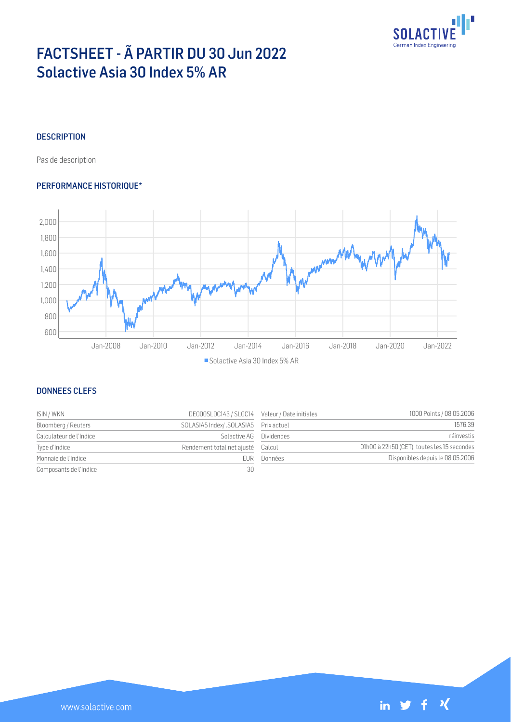

# FACTSHEET - Ã PARTIR DU 30 Jun 2022 Solactive Asia 30 Index 5% AR

## **DESCRIPTION**

Pas de description

### PERFORMANCE HISTORIQUE\*



### DONNEES CLEFS

| ISIN / WKN              | DE000SL0C143 / SL0C14 Valeur / Date initiales |         | 1000 Points / 08.05.2006                    |
|-------------------------|-----------------------------------------------|---------|---------------------------------------------|
| Bloomberg / Reuters     | SOLASIA5 Index/ .SOLASIA5 Prix actuel         |         | 1576.39                                     |
| Calculateur de l'Indice | Solactive AG Dividendes                       |         | réinvestis                                  |
| Type d'Indice           | Rendement total net ajusté Calcul             |         | 01h00 à 22h50 (CET), toutes les 15 secondes |
| Monnaie de l'Indice     | FUR-                                          | Données | Disponibles depuis le 08.05.2006            |
| Composants de l'Indice  | 30                                            |         |                                             |

| Valeur / Date initiales | 1000 Points / 08.05.2006                    |
|-------------------------|---------------------------------------------|
| Prix actuel             | 1576.39                                     |
| <b>Dividendes</b>       | réinvestis                                  |
| Calcul                  | 01h00 à 22h50 (CET), toutes les 15 secondes |
| Données                 | Disponibles depuis le 08.05.2006            |
|                         |                                             |

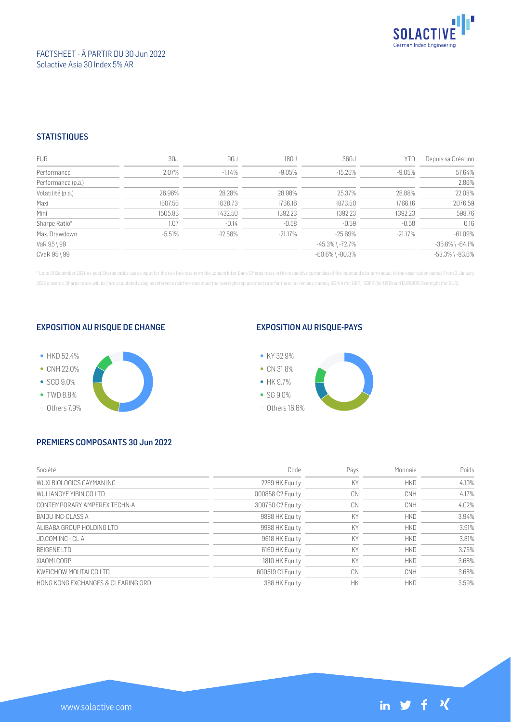

#### FACTSHEET - Ã PARTIR DU 30 Jun 2022 Solactive Asia 30 Index 5% AR

#### **STATISTIQUES**

| <b>EUR</b>         | 30J      | 90J       | 180J       | 360J                  | YTD        | Depuis sa Création    |
|--------------------|----------|-----------|------------|-----------------------|------------|-----------------------|
| Performance        | 2.07%    | $-1.14%$  | -9.05%     | $-15.25%$             | $-9.05%$   | 57.64%                |
| Performance (p.a.) |          |           |            |                       |            | 2.86%                 |
| Volatilité (p.a.)  | 26.96%   | 28.28%    | 28.98%     | 25.37%                | 28.88%     | 22.08%                |
| Maxi               | 1607.56  | 1638.73   | 1766.16    | 1873.50               | 1766.16    | 2076.59               |
| Mini               | 1505.83  | 1432.50   | 1392.23    | 1392.23               | 1392.23    | 598.76                |
| Sharpe Ratio*      | 1.07     | $-0.14$   | $-0.58$    | $-0.59$               | $-0.58$    | 0.16                  |
| Max. Drawdown      | $-5.51%$ | $-12.58%$ | $-21.17\%$ | $-25.69\%$            | $-21.17\%$ | $-61.09%$             |
| VaR 95 \ 99        |          |           |            | -45.3% \ -72.7%       |            | $-35.6\%$ \ $-64.1\%$ |
| CVaR 95 \ 99       |          |           |            | $-60.6\%$ \ $-80.3\%$ |            | $-53.3\%$ \ $-83.6\%$ |

\* Up to 31 December 2021, ex-post Sharpe ratios use as input for the risk free rate term the London Inter-Bank Offered rates in the respective currencies of the index and at a term equal to the observation period. From 3 J 2022 onwards, Sharpe ratios will be / are calculated using as reference risk free rate input the overnight replacement rate for these currencies, namely SONIA (for GBP), SOFR (for USD) and EURIBOR Overnight (for EUR).

#### EXPOSITION AU RISQUE DE CHANGE



#### EXPOSITION AU RISQUE-PAYS



## PREMIERS COMPOSANTS 30 Jun 2022

| Société                            | Code             | Pays | Monnaie    | Poids |
|------------------------------------|------------------|------|------------|-------|
| WUXI BIOLOGICS CAYMAN INC          | 2269 HK Equity   | KY   | <b>HKD</b> | 4.19% |
| WULLANGYF YIBIN CO LTD             | 000858 C2 Equity | CN   | <b>CNH</b> | 4.17% |
| CONTEMPORARY AMPEREX TECHN-A       | 300750 C2 Equity | CN   | CNH        | 4.02% |
| BAIDU INC-CLASS A                  | 9888 HK Equity   | KY   | <b>HKD</b> | 3.94% |
| ALIBABA GROUP HOLDING LTD          | 9988 HK Equity   | KY   | <b>HKD</b> | 3.91% |
| JD.COM INC - CLA                   | 9618 HK Equity   | KY   | <b>HKD</b> | 3.81% |
| <b>BEIGENE LTD</b>                 | 6160 HK Equity   | KY   | <b>HKD</b> | 3.75% |
| XIAOMI CORP                        | 1810 HK Equity   | KY   | <b>HKD</b> | 3.68% |
| KWFICHOW MOUTALCO LTD              | 600519 C1 Equity | CN   | CNH        | 3.68% |
| HONG KONG EXCHANGES & CLEARING ORD | 388 HK Equity    | НK   | <b>HKD</b> | 3.59% |